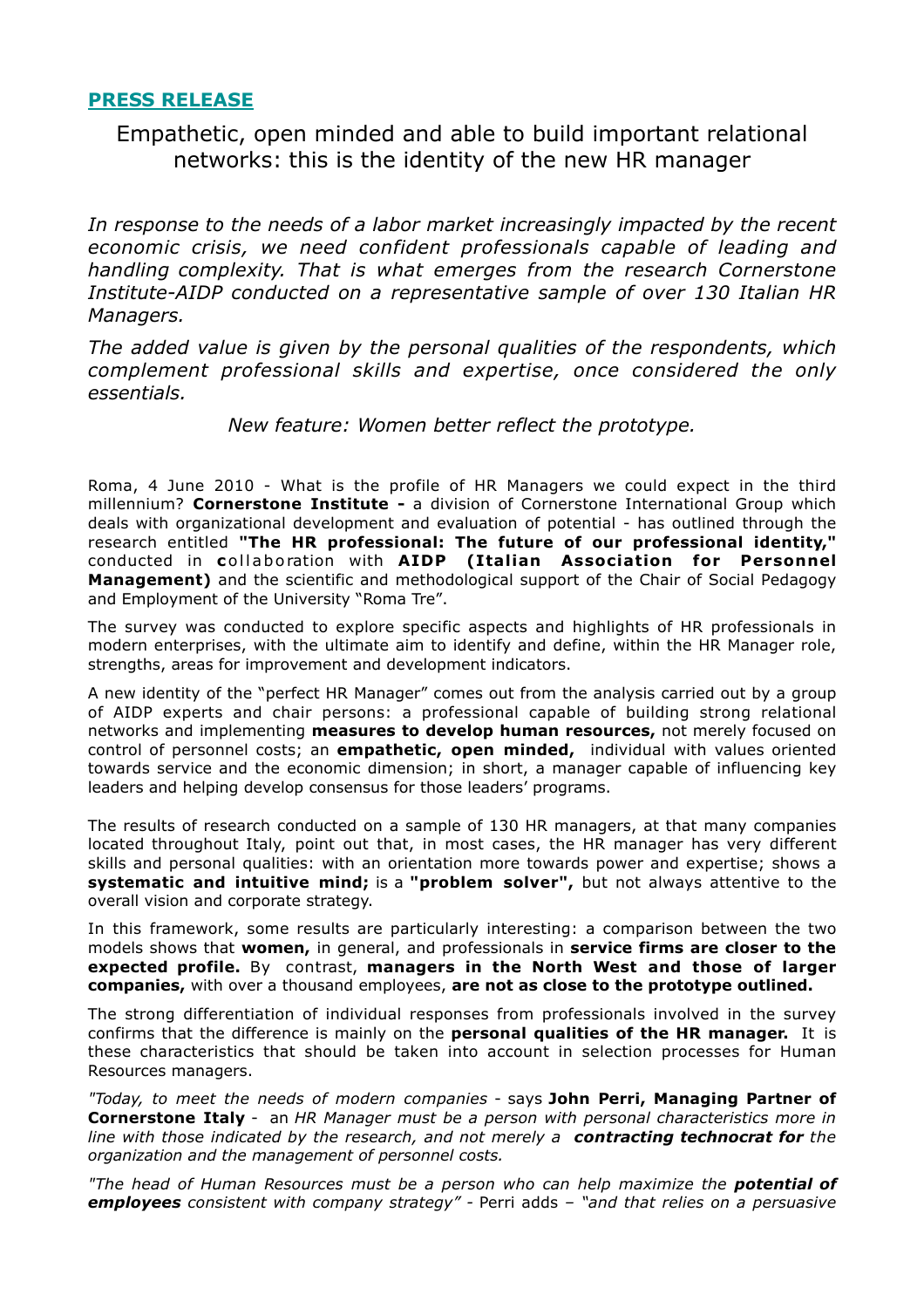## **PRESS RELEASE**

# Empathetic, open minded and able to build important relational networks: this is the identity of the new HR manager

*In response to the needs of a labor market increasingly impacted by the recent economic crisis, we need confident professionals capable of leading and handling complexity. That is what emerges from the research Cornerstone Institute-AIDP conducted on a representative sample of over 130 Italian HR Managers.*

*The added value is given by the personal qualities of the respondents, which complement professional skills and expertise, once considered the only essentials.*

*New feature: Women better reflect the prototype.*

Roma, 4 June 2010 - What is the profile of HR Managers we could expect in the third millennium? **Cornerstone Institute -** a division of Cornerstone International Group which deals with organizational development and evaluation of potential - has outlined through the research entitled **"The HR professional: The future of our professional identity,"** conducted in **c**ollaboration with **AIDP (Italian Association for Personnel Management)** and the scientific and methodological support of the Chair of Social Pedagogy and Employment of the University "Roma Tre".

The survey was conducted to explore specific aspects and highlights of HR professionals in modern enterprises, with the ultimate aim to identify and define, within the HR Manager role, strengths, areas for improvement and development indicators.

A new identity of the "perfect HR Manager" comes out from the analysis carried out by a group of AIDP experts and chair persons: a professional capable of building strong relational networks and implementing **measures to develop human resources,** not merely focused on control of personnel costs; an **empathetic, open minded,** individual with values oriented towards service and the economic dimension; in short, a manager capable of influencing key leaders and helping develop consensus for those leaders' programs.

The results of research conducted on a sample of 130 HR managers, at that many companies located throughout Italy, point out that, in most cases, the HR manager has very different skills and personal qualities: with an orientation more towards power and expertise; shows a **systematic and intuitive mind;** is a **"problem solver",** but not always attentive to the overall vision and corporate strategy.

In this framework, some results are particularly interesting: a comparison between the two models shows that **women,** in general, and professionals in **service firms are closer to the expected profile.** By contrast, **managers in the North West and those of larger companies,** with over a thousand employees, **are not as close to the prototype outlined.**

The strong differentiation of individual responses from professionals involved in the survey confirms that the difference is mainly on the **personal qualities of the HR manager.** It is these characteristics that should be taken into account in selection processes for Human Resources managers.

*"Today, to meet the needs of modern companies* - says **John Perri, Managing Partner of Cornerstone Italy** - an *HR Manager must be a person with personal characteristics more in line with those indicated by the research, and not merely a contracting technocrat for the organization and the management of personnel costs.*

*"The head of Human Resources must be a person who can help maximize the potential of employees consistent with company strategy" -* Perri adds *– "and that relies on a persuasive*